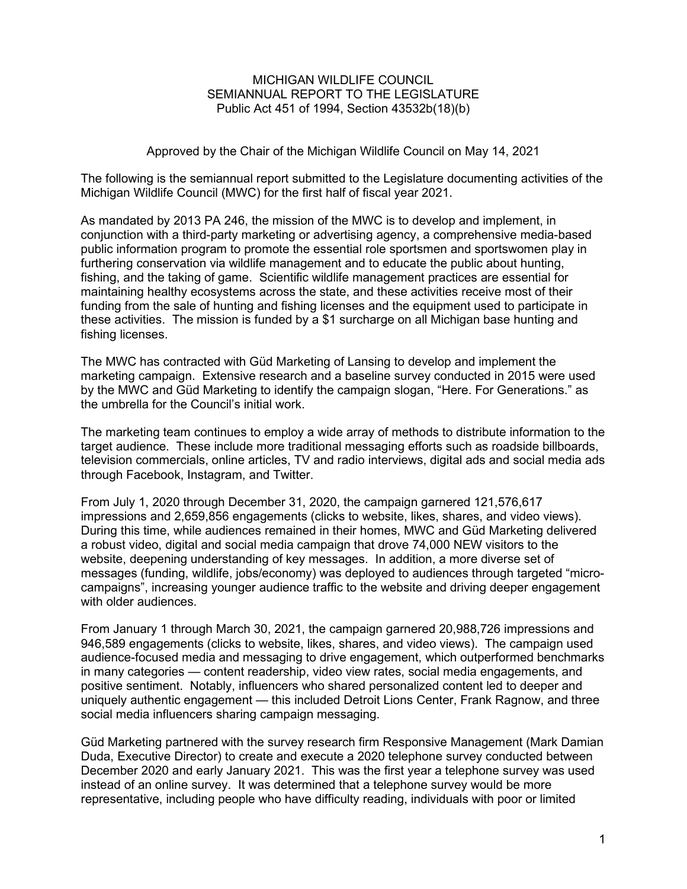## MICHIGAN WILDLIFE COUNCIL SEMIANNUAL REPORT TO THE LEGISLATURE Public Act 451 of 1994, Section 43532b(18)(b)

# Approved by the Chair of the Michigan Wildlife Council on May 14, 2021

The following is the semiannual report submitted to the Legislature documenting activities of the Michigan Wildlife Council (MWC) for the first half of fiscal year 2021.

As mandated by 2013 PA 246, the mission of the MWC is to develop and implement, in conjunction with a third-party marketing or advertising agency, a comprehensive media-based public information program to promote the essential role sportsmen and sportswomen play in furthering conservation via wildlife management and to educate the public about hunting, fishing, and the taking of game. Scientific wildlife management practices are essential for maintaining healthy ecosystems across the state, and these activities receive most of their funding from the sale of hunting and fishing licenses and the equipment used to participate in these activities. The mission is funded by a \$1 surcharge on all Michigan base hunting and fishing licenses.

The MWC has contracted with Güd Marketing of Lansing to develop and implement the marketing campaign. Extensive research and a baseline survey conducted in 2015 were used by the MWC and Güd Marketing to identify the campaign slogan, "Here. For Generations." as the umbrella for the Council's initial work.

The marketing team continues to employ a wide array of methods to distribute information to the target audience. These include more traditional messaging efforts such as roadside billboards, television commercials, online articles, TV and radio interviews, digital ads and social media ads through Facebook, Instagram, and Twitter.

From July 1, 2020 through December 31, 2020, the campaign garnered 121,576,617 impressions and 2,659,856 engagements (clicks to website, likes, shares, and video views). During this time, while audiences remained in their homes, MWC and Güd Marketing delivered a robust video, digital and social media campaign that drove 74,000 NEW visitors to the website, deepening understanding of key messages. In addition, a more diverse set of messages (funding, wildlife, jobs/economy) was deployed to audiences through targeted "microcampaigns", increasing younger audience traffic to the website and driving deeper engagement with older audiences.

From January 1 through March 30, 2021, the campaign garnered 20,988,726 impressions and 946,589 engagements (clicks to website, likes, shares, and video views). The campaign used audience-focused media and messaging to drive engagement, which outperformed benchmarks in many categories — content readership, video view rates, social media engagements, and positive sentiment. Notably, influencers who shared personalized content led to deeper and uniquely authentic engagement — this included Detroit Lions Center, Frank Ragnow, and three social media influencers sharing campaign messaging.

Güd Marketing partnered with the survey research firm Responsive Management (Mark Damian Duda, Executive Director) to create and execute a 2020 telephone survey conducted between December 2020 and early January 2021. This was the first year a telephone survey was used instead of an online survey. It was determined that a telephone survey would be more representative, including people who have difficulty reading, individuals with poor or limited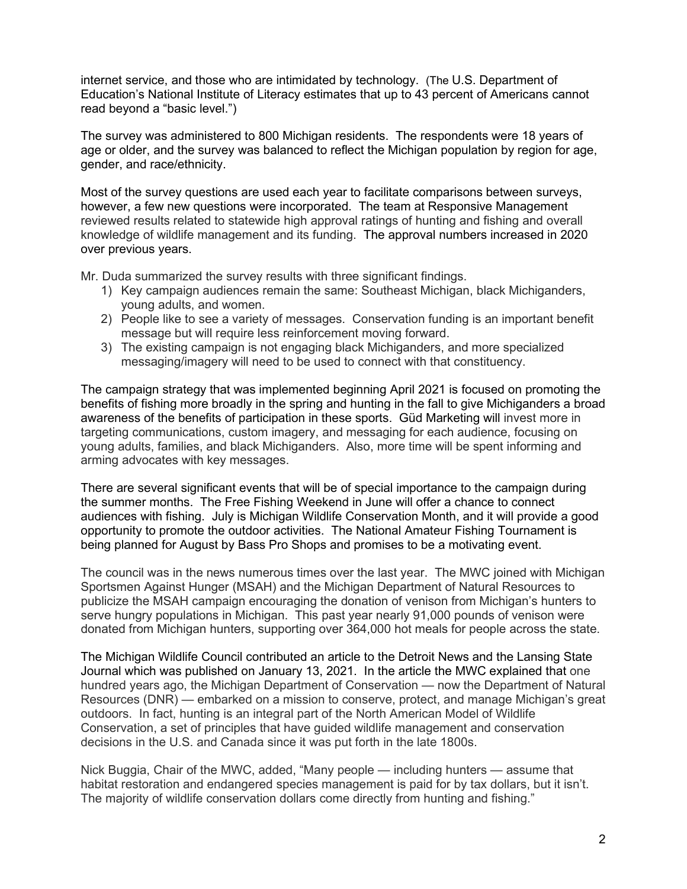internet service, and those who are intimidated by technology. (The U.S. Department of Education's National Institute of Literacy estimates that up to 43 percent of Americans cannot read beyond a "basic level.")

The survey was administered to 800 Michigan residents. The respondents were 18 years of age or older, and the survey was balanced to reflect the Michigan population by region for age, gender, and race/ethnicity.

Most of the survey questions are used each year to facilitate comparisons between surveys, however, a few new questions were incorporated. The team at Responsive Management reviewed results related to statewide high approval ratings of hunting and fishing and overall knowledge of wildlife management and its funding. The approval numbers increased in 2020 over previous years.

Mr. Duda summarized the survey results with three significant findings.

- 1) Key campaign audiences remain the same: Southeast Michigan, black Michiganders, young adults, and women.
- 2) People like to see a variety of messages. Conservation funding is an important benefit message but will require less reinforcement moving forward.
- 3) The existing campaign is not engaging black Michiganders, and more specialized messaging/imagery will need to be used to connect with that constituency.

The campaign strategy that was implemented beginning April 2021 is focused on promoting the benefits of fishing more broadly in the spring and hunting in the fall to give Michiganders a broad awareness of the benefits of participation in these sports. Güd Marketing will invest more in targeting communications, custom imagery, and messaging for each audience, focusing on young adults, families, and black Michiganders. Also, more time will be spent informing and arming advocates with key messages.

There are several significant events that will be of special importance to the campaign during the summer months. The Free Fishing Weekend in June will offer a chance to connect audiences with fishing. July is Michigan Wildlife Conservation Month, and it will provide a good opportunity to promote the outdoor activities. The National Amateur Fishing Tournament is being planned for August by Bass Pro Shops and promises to be a motivating event.

The council was in the news numerous times over the last year. The MWC joined with Michigan Sportsmen Against Hunger (MSAH) and the Michigan Department of Natural Resources to publicize the MSAH campaign encouraging the donation of venison from Michigan's hunters to serve hungry populations in Michigan. This past year nearly 91,000 pounds of venison were donated from Michigan hunters, supporting over 364,000 hot meals for people across the state.

The Michigan Wildlife Council contributed an article to the Detroit News and the Lansing State Journal which was published on January 13, 2021. In the article the MWC explained that one hundred years ago, the Michigan Department of Conservation — now the Department of Natural Resources (DNR) — embarked on a mission to conserve, protect, and manage Michigan's great outdoors. In fact, hunting is an integral part of the North American Model of Wildlife Conservation, a set of principles that have guided wildlife management and conservation decisions in the U.S. and Canada since it was put forth in the late 1800s.

Nick Buggia, Chair of the MWC, added, "Many people — including hunters — assume that habitat restoration and endangered species management is paid for by tax dollars, but it isn't. The majority of wildlife conservation dollars come directly from hunting and fishing."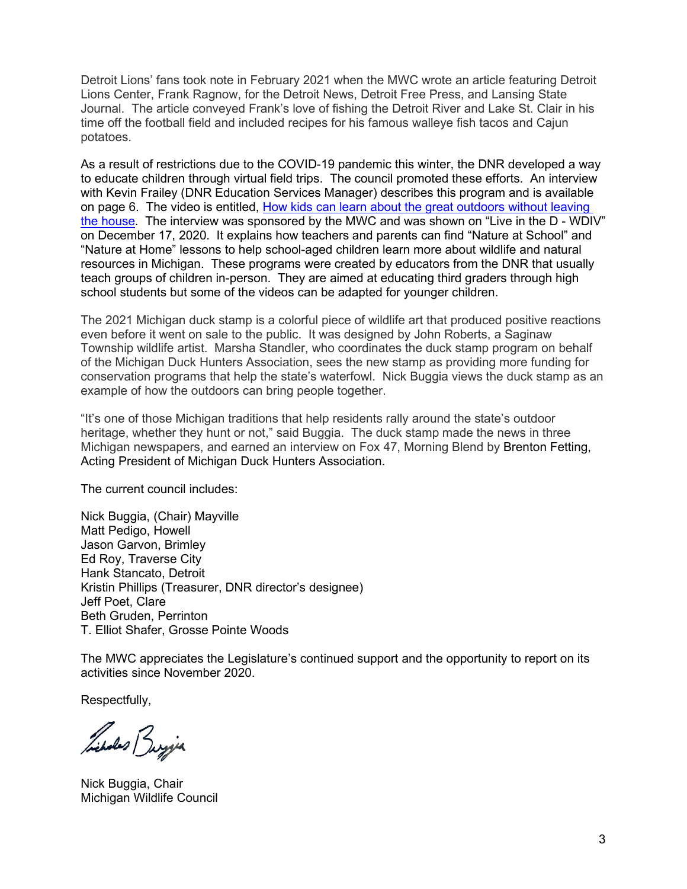Detroit Lions' fans took note in February 2021 when the MWC wrote an article featuring Detroit Lions Center, Frank Ragnow, for the Detroit News, Detroit Free Press, and Lansing State Journal. The article conveyed Frank's love of fishing the Detroit River and Lake St. Clair in his time off the football field and included recipes for his famous walleye fish tacos and Cajun potatoes.

As a result of restrictions due to the COVID-19 pandemic this winter, the DNR developed a way to educate children through virtual field trips. The council promoted these efforts. An interview with Kevin Frailey (DNR Education Services Manager) describes this program and is available on page 6. The video is entitled, [How kids can learn about the great outdoors without leaving](https://www.clickondetroit.com/live-in-the-d/2020/12/17/how-kids-can-learn-about-the-great-outdoors-without-leaving-the-house/)  [the house.](https://www.clickondetroit.com/live-in-the-d/2020/12/17/how-kids-can-learn-about-the-great-outdoors-without-leaving-the-house/) The interview was sponsored by the MWC and was shown on "Live in the D - WDIV" on December 17, 2020. It explains how teachers and parents can find "Nature at School" and "Nature at Home" lessons to help school-aged children learn more about wildlife and natural resources in Michigan. These programs were created by educators from the DNR that usually teach groups of children in-person. They are aimed at educating third graders through high school students but some of the videos can be adapted for younger children.

The 2021 Michigan duck stamp is a colorful piece of wildlife art that produced positive reactions even before it went on sale to the public. It was designed by John Roberts, a Saginaw Township wildlife artist. Marsha Standler, who coordinates the duck stamp program on behalf of the [Michigan Duck Hunters Association,](https://miduckhunters.org/) sees the new stamp as providing more funding for conservation programs that help the state's waterfowl. Nick Buggia views the duck stamp as an example of how the outdoors can bring people together.

"It's one of those Michigan traditions that help residents rally around the state's outdoor heritage, whether they hunt or not," said Buggia. The duck stamp made the news in three Michigan newspapers, and earned an interview on Fox 47, Morning Blend by Brenton Fetting, Acting President of Michigan Duck Hunters Association.

The current council includes:

Nick Buggia, (Chair) Mayville Matt Pedigo, Howell Jason Garvon, Brimley Ed Roy, Traverse City Hank Stancato, Detroit Kristin Phillips (Treasurer, DNR director's designee) Jeff Poet, Clare Beth Gruden, Perrinton T. Elliot Shafer, Grosse Pointe Woods

The MWC appreciates the Legislature's continued support and the opportunity to report on its activities since November 2020.

Respectfully,

Libert Buyja

Nick Buggia, Chair Michigan Wildlife Council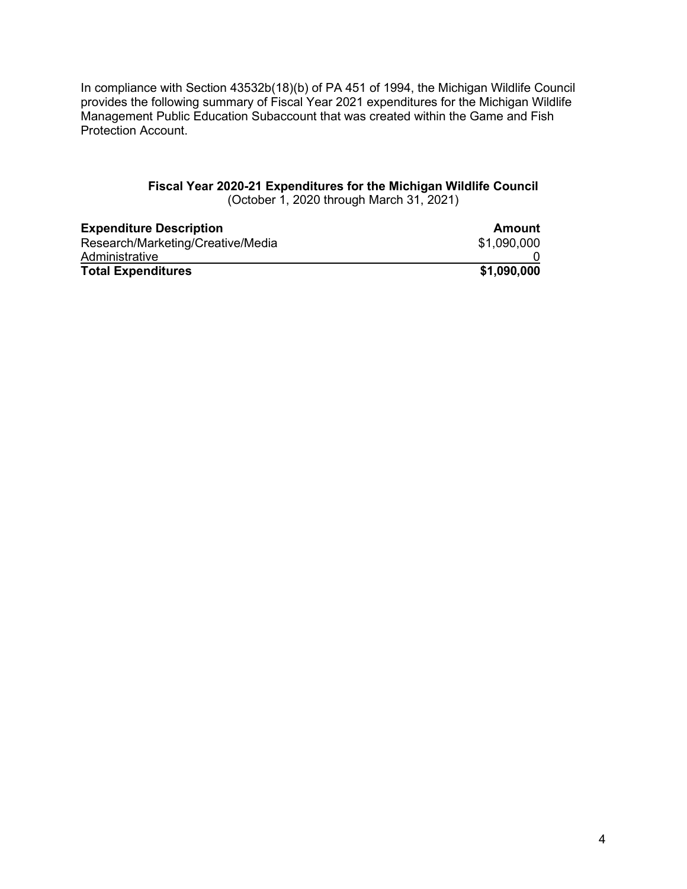In compliance with Section 43532b(18)(b) of PA 451 of 1994, the Michigan Wildlife Council provides the following summary of Fiscal Year 2021 expenditures for the Michigan Wildlife Management Public Education Subaccount that was created within the Game and Fish Protection Account.

# **Fiscal Year 2020-21 Expenditures for the Michigan Wildlife Council** (October 1, 2020 through March 31, 2021)

| <b>Expenditure Description</b>    | Amount      |
|-----------------------------------|-------------|
| Research/Marketing/Creative/Media | \$1,090,000 |
| Administrative                    |             |
| <b>Total Expenditures</b>         | \$1,090,000 |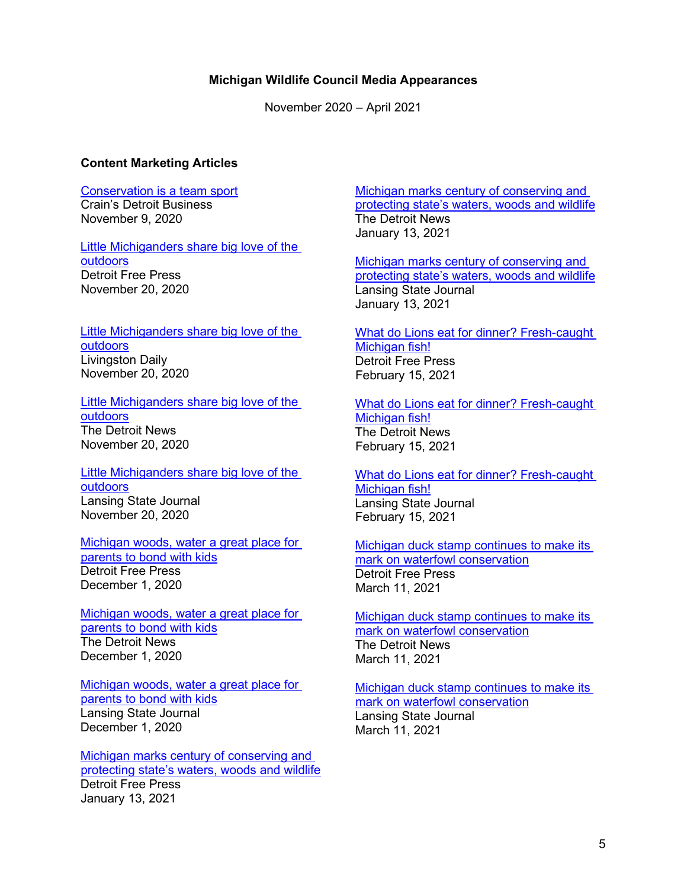## **Michigan Wildlife Council Media Appearances**

November 2020 – April 2021

### **Content Marketing Articles**

# [Conservation is a team sport](https://www.crainsdetroit.com/sponsored-content/conservation-team-sport)

Crain's Detroit Business November 9, 2020

Little Michiganders share big love of the [outdoors](https://www.freep.com/story/sponsor-story/michigan-wildlife-council/2020/11/20/little-michiganders-share-big-love-outdoors/6331894002/) Detroit Free Press November 20, 2020

#### [Little Michiganders share big love of the](https://www.livingstondaily.com/story/sponsor-story/michigan-wildlife-council/2020/11/20/little-michiganders-share-big-love-outdoors/6331894002/)  [outdoors](https://www.livingstondaily.com/story/sponsor-story/michigan-wildlife-council/2020/11/20/little-michiganders-share-big-love-outdoors/6331894002/) Livingston Daily November 20, 2020

[Little Michiganders share big love of the](https://www.detroitnews.com/story/sponsor-story/michigan-wildlife-council/2020/11/20/ever-wonder-what-kids-think-and-feel-michigans-great-outdoors/6330126002/)  [outdoors](https://www.detroitnews.com/story/sponsor-story/michigan-wildlife-council/2020/11/20/ever-wonder-what-kids-think-and-feel-michigans-great-outdoors/6330126002/) The Detroit News November 20, 2020

[Little Michiganders share big love of the](https://www.lansingstatejournal.com/story/sponsor-story/michigan-wildlife-council/2020/11/20/ever-wonder-what-kids-think-and-feel-michigans-great-outdoors/6330836002/)  [outdoors](https://www.lansingstatejournal.com/story/sponsor-story/michigan-wildlife-council/2020/11/20/ever-wonder-what-kids-think-and-feel-michigans-great-outdoors/6330836002/) Lansing State Journal November 20, 2020

[Michigan woods, water a great place for](https://www.freep.com/story/sponsor-story/michigan-wildlife-council/2020/12/01/michigan-woods-water-great-place-parents-bond-kids/6415304002/)  [parents to bond with kids](https://www.freep.com/story/sponsor-story/michigan-wildlife-council/2020/12/01/michigan-woods-water-great-place-parents-bond-kids/6415304002/) Detroit Free Press December 1, 2020

[Michigan woods, water a great place for](https://www.detroitnews.com/story/sponsor-story/michigan-wildlife-council/2020/12/01/michigan-woods-water-great-place-parents-bond-kids/6415479002/)  [parents to bond with kids](https://www.detroitnews.com/story/sponsor-story/michigan-wildlife-council/2020/12/01/michigan-woods-water-great-place-parents-bond-kids/6415479002/) The Detroit News December 1, 2020

[Michigan woods, water a great place for](https://www.lansingstatejournal.com/story/sponsor-story/michigan-wildlife-council/2020/12/01/michigan-woods-water-great-place-parents-bond-kids/6412167002/)  [parents to bond with kids](https://www.lansingstatejournal.com/story/sponsor-story/michigan-wildlife-council/2020/12/01/michigan-woods-water-great-place-parents-bond-kids/6412167002/) Lansing State Journal December 1, 2020

[Michigan marks century of conserving and](https://www.freep.com/story/sponsor-story/michigan-wildlife-council/2021/01/13/michigan-marks-century-conserving-and-protecting-states-waters-woods-and-wildlife/6630632002/)  [protecting state's waters, woods and wildlife](https://www.freep.com/story/sponsor-story/michigan-wildlife-council/2021/01/13/michigan-marks-century-conserving-and-protecting-states-waters-woods-and-wildlife/6630632002/) Detroit Free Press January 13, 2021

[Michigan marks century of conserving and](https://www.detroitnews.com/story/sponsor-story/michigan-wildlife-council/2021/01/13/michigan-marks-century-conserving-and-protecting-states-waters-woods-and-wildlife/6630863002/)  [protecting state's waters, woods and wildlife](https://www.detroitnews.com/story/sponsor-story/michigan-wildlife-council/2021/01/13/michigan-marks-century-conserving-and-protecting-states-waters-woods-and-wildlife/6630863002/) The Detroit News January 13, 2021

[Michigan marks century of conserving and](https://www.lansingstatejournal.com/story/sponsor-story/michigan-wildlife-council/2021/01/13/michigan-marks-century-conserving-and-protecting-states-waters-woods-and-wildlife/6631153002/)  [protecting state's waters, woods and wildlife](https://www.lansingstatejournal.com/story/sponsor-story/michigan-wildlife-council/2021/01/13/michigan-marks-century-conserving-and-protecting-states-waters-woods-and-wildlife/6631153002/) Lansing State Journal January 13, 2021

[What do Lions eat for dinner? Fresh-caught](https://www.freep.com/story/sponsor-story/michigan-wildlife-council/2021/02/15/football-player-frank-ragnow-shares-his-winning-walleye-fish-taco-recipe/6711740002/)  [Michigan fish!](https://www.freep.com/story/sponsor-story/michigan-wildlife-council/2021/02/15/football-player-frank-ragnow-shares-his-winning-walleye-fish-taco-recipe/6711740002/) Detroit Free Press February 15, 2021

[What do Lions eat for dinner? Fresh-caught](https://www.detroitnews.com/story/sponsor-story/michigan-wildlife-council/2021/02/15/football-player-frank-ragnow-shares-his-winning-walleye-fish-taco-recipe/6711807002/)  [Michigan fish!](https://www.detroitnews.com/story/sponsor-story/michigan-wildlife-council/2021/02/15/football-player-frank-ragnow-shares-his-winning-walleye-fish-taco-recipe/6711807002/) The Detroit News February 15, 2021

[What do Lions eat for dinner? Fresh-caught](https://www.lansingstatejournal.com/story/sponsor-story/michigan-wildlife-council/2021/02/15/football-player-frank-ragnow-shares-his-winning-walleye-fish-taco-recipe/6711884002/)  [Michigan fish!](https://www.lansingstatejournal.com/story/sponsor-story/michigan-wildlife-council/2021/02/15/football-player-frank-ragnow-shares-his-winning-walleye-fish-taco-recipe/6711884002/) Lansing State Journal February 15, 2021

[Michigan duck stamp continues to make](https://www.freep.com/story/sponsor-story/michigan-wildlife-council/2021/03/11/michigan-duck-stamp-continues-make-its-mark-waterfowl-conservation/4634113001/) its [mark on waterfowl conservation](https://www.freep.com/story/sponsor-story/michigan-wildlife-council/2021/03/11/michigan-duck-stamp-continues-make-its-mark-waterfowl-conservation/4634113001/) Detroit Free Press March 11, 2021

Michigan duck stamp continues to make its [mark on waterfowl conservation](https://www.detroitnews.com/story/sponsor-story/michigan-wildlife-council/2021/03/11/michigan-duck-stamp-continues-make-its-mark-waterfowl-conservation/4634362001/) The Detroit News March 11, 2021

[Michigan duck stamp continues to make its](https://www.lansingstatejournal.com/story/sponsor-story/michigan-wildlife-council/2021/03/11/michigan-duck-stamp-continues-make-its-mark-waterfowl-conservation/4634521001/)  [mark on waterfowl conservation](https://www.lansingstatejournal.com/story/sponsor-story/michigan-wildlife-council/2021/03/11/michigan-duck-stamp-continues-make-its-mark-waterfowl-conservation/4634521001/) Lansing State Journal March 11, 2021